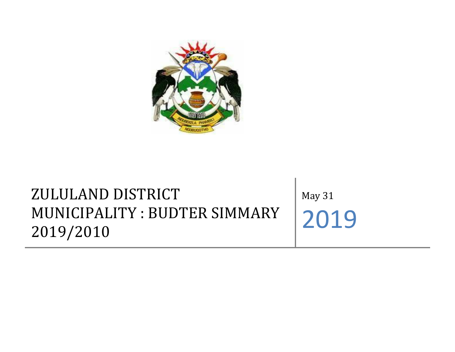

## ZULULAND DISTRICT MUNICIPALITY : BUDTER SIMMARY 2019/2010

May 31 2019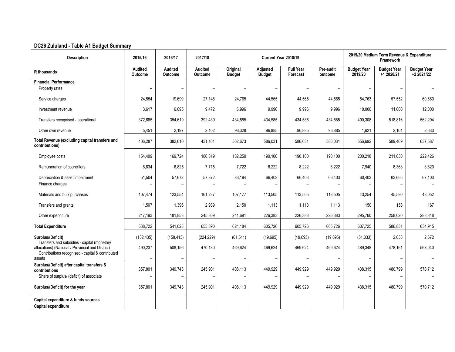## **DC26 Zululand - Table A1 Budget Summary**

| <b>Description</b>                                                                                                                                   | 2015/16                   | 2016/17                  | 2017/18                   | Current Year 2018/19      |                           |                              |                          | 2019/20 Medium Term Revenue & Expenditure<br>Framework |                                  |                                  |  |
|------------------------------------------------------------------------------------------------------------------------------------------------------|---------------------------|--------------------------|---------------------------|---------------------------|---------------------------|------------------------------|--------------------------|--------------------------------------------------------|----------------------------------|----------------------------------|--|
| R thousands                                                                                                                                          | Audited<br><b>Outcome</b> | Audited<br>Outcome       | <b>Audited</b><br>Outcome | Original<br><b>Budget</b> | <b>Adjusted</b><br>Budget | <b>Full Year</b><br>Forecast | Pre-audit<br>outcome     | <b>Budget Year</b><br>2019/20                          | <b>Budget Year</b><br>+1 2020/21 | <b>Budget Year</b><br>+2 2021/22 |  |
| <b>Financial Performance</b>                                                                                                                         |                           |                          |                           |                           |                           |                              |                          |                                                        |                                  |                                  |  |
| Property rates                                                                                                                                       | $\overline{a}$            | $\overline{\phantom{0}}$ |                           | $\overline{\phantom{a}}$  |                           |                              | $\overline{\phantom{0}}$ |                                                        |                                  |                                  |  |
| Service charges                                                                                                                                      | 24,554                    | 19,699                   | 27,148                    | 24,765                    | 44,565                    | 44,565                       | 44,565                   | 54,763                                                 | 57,552                           | 60,660                           |  |
| Investment revenue                                                                                                                                   | 3,617                     | 6,095                    | 9,472                     | 6,996                     | 9,996                     | 9,996                        | 9,996                    | 10,000                                                 | 11,000                           | 12,000                           |  |
| Transfers recognised - operational                                                                                                                   | 372,665                   | 354,619                  | 392,439                   | 434,585                   | 434,585                   | 434,585                      | 434,585                  | 490,308                                                | 518,816                          | 562,294                          |  |
| Other own revenue                                                                                                                                    | 5,451                     | 2,197                    | 2,102                     | 96,328                    | 96,885                    | 96,885                       | 96,885                   | 1,621                                                  | 2,101                            | 2,633                            |  |
| Total Revenue (excluding capital transfers and<br>contributions)                                                                                     | 406,287                   | 382,610                  | 431,161                   | 562,673                   | 586,031                   | 586,031                      | 586,031                  | 556,692                                                | 589,469                          | 637,587                          |  |
| Employee costs                                                                                                                                       | 154,409                   | 169,724                  | 180,819                   | 182,250                   | 190,100                   | 190,100                      | 190,100                  | 200,218                                                | 211,030                          | 222,426                          |  |
| Remuneration of councillors                                                                                                                          | 6,634                     | 6,825                    | 7,715                     | 7,722                     | 8,222                     | 8,222                        | 8,222                    | 7,940                                                  | 8,368                            | 8,820                            |  |
| Depreciation & asset impairment                                                                                                                      | 51,504                    | 57,672                   | 57,372                    | 83,194                    | 66,403                    | 66,403                       | 66,403                   | 60,403                                                 | 63,665                           | 67,103                           |  |
| Finance charges                                                                                                                                      |                           |                          |                           |                           |                           |                              |                          |                                                        |                                  |                                  |  |
| Materials and bulk purchases                                                                                                                         | 107,474                   | 123,554                  | 161,237                   | 107,177                   | 113,505                   | 113,505                      | 113,505                  | 43,254                                                 | 45,590                           | 48,052                           |  |
| Transfers and grants                                                                                                                                 | 1,507                     | 1,396                    | 2,939                     | 2,150                     | 1,113                     | 1,113                        | 1,113                    | 150                                                    | 158                              | 167                              |  |
| Other expenditure                                                                                                                                    | 217,193                   | 181,853                  | 245,309                   | 241,691                   | 226,383                   | 226,383                      | 226,383                  | 295,760                                                | 258,020                          | 288,348                          |  |
| <b>Total Expenditure</b>                                                                                                                             | 538,722                   | 541,023                  | 655,390                   | 624,184                   | 605,726                   | 605,726                      | 605,726                  | 607,725                                                | 586,831                          | 634,915                          |  |
| Surplus/(Deficit)                                                                                                                                    | (132, 435)                | (158, 413)               | (224, 229)                | (61, 511)                 | (19, 695)                 | (19, 695)                    | (19,695)                 | (51, 033)                                              | 2,638                            | 2,672                            |  |
| Transfers and subsidies - capital (monetary<br>allocations) (National / Provincial and District)<br>Contributions recognised - capital & contributed | 490,237                   | 508,156                  | 470,130                   | 469,624                   | 469,624                   | 469,624                      | 469,624                  | 489,348                                                | 478,161                          | 568,040                          |  |
| assets                                                                                                                                               |                           | $\overline{\phantom{0}}$ |                           |                           |                           | $\overline{\phantom{a}}$     | $\overline{\phantom{m}}$ |                                                        |                                  |                                  |  |
| Surplus/(Deficit) after capital transfers &<br>contributions                                                                                         | 357,801                   | 349,743                  | 245,901                   | 408,113                   | 449,929                   | 449,929                      | 449,929                  | 438,315                                                | 480,799                          | 570,712                          |  |
| Share of surplus/ (deficit) of associate                                                                                                             | $\overline{\phantom{0}}$  | $\overline{\phantom{a}}$ | $\overline{\phantom{0}}$  | $\overline{\phantom{0}}$  |                           | $\overline{\phantom{0}}$     | $\overline{\phantom{a}}$ |                                                        | $\overline{\phantom{0}}$         |                                  |  |
| Surplus/(Deficit) for the year                                                                                                                       | 357,801                   | 349,743                  | 245,901                   | 408,113                   | 449,929                   | 449,929                      | 449,929                  | 438,315                                                | 480,799                          | 570,712                          |  |
| Capital expenditure & funds sources<br>Capital expenditure                                                                                           |                           |                          |                           |                           |                           |                              |                          |                                                        |                                  |                                  |  |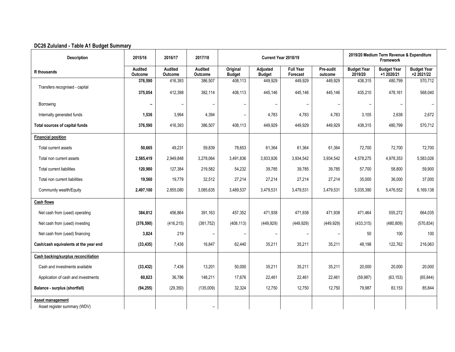## **DC26 Zululand - Table A1 Budget Summary**

| <b>Description</b>                               | 2015/16                          | 2016/17                   | 2017/18                   | Current Year 2018/19      |                                  |                              |                          | 2019/20 Medium Term Revenue & Expenditure<br>Framework |                                  |                                  |  |
|--------------------------------------------------|----------------------------------|---------------------------|---------------------------|---------------------------|----------------------------------|------------------------------|--------------------------|--------------------------------------------------------|----------------------------------|----------------------------------|--|
| R thousands                                      | <b>Audited</b><br><b>Outcome</b> | <b>Audited</b><br>Outcome | <b>Audited</b><br>Outcome | Original<br><b>Budget</b> | <b>Adjusted</b><br><b>Budget</b> | <b>Full Year</b><br>Forecast | Pre-audit<br>outcome     | <b>Budget Year</b><br>2019/20                          | <b>Budget Year</b><br>+1 2020/21 | <b>Budget Year</b><br>+2 2021/22 |  |
|                                                  | 376,590                          | 416,393                   | 386,507                   | 408,113                   | 449,929                          | 449,929                      | 449,929                  | 438,315                                                | 480,799                          | 570,712                          |  |
| Transfers recognised - capital                   | 375,054                          | 412,398                   | 382,114                   | 408,113                   | 445,146                          | 445,146                      | 445,146                  | 435,210                                                | 478,161                          | 568,040                          |  |
| Borrowing                                        |                                  | $\overline{\phantom{m}}$  |                           | $\overline{\phantom{0}}$  |                                  |                              | $\overline{\phantom{a}}$ | $\overline{\phantom{a}}$                               | -                                |                                  |  |
| Internally generated funds                       | 1,536                            | 3,994                     | 4,394                     | $\overline{\phantom{a}}$  | 4,783                            | 4,783                        | 4,783                    | 3,105                                                  | 2,638                            | 2,672                            |  |
| Total sources of capital funds                   | 376,590                          | 416,393                   | 386,507                   | 408,113                   | 449,929                          | 449,929                      | 449,929                  | 438,315                                                | 480,799                          | 570,712                          |  |
| <b>Financial position</b>                        |                                  |                           |                           |                           |                                  |                              |                          |                                                        |                                  |                                  |  |
| Total current assets                             | 50,665                           | 49,231                    | 59,839                    | 78,653                    | 61,364                           | 61,364                       | 61,364                   | 72,700                                                 | 72,700                           | 72,700                           |  |
| Total non current assets                         | 2,585,419                        | 2,949,848                 | 3,278,064                 | 3,491,836                 | 3,933,926                        | 3,934,542                    | 3,934,542                | 4,578,275                                              | 4,978,353                        | 5,583,026                        |  |
| Total current liabilities                        | 120,980                          | 127,384                   | 219,582                   | 54,232                    | 39,785                           | 39,785                       | 39,785                   | 57,700                                                 | 58,800                           | 59,900                           |  |
| Total non current liabilities                    | 19,560                           | 19,779                    | 32,512                    | 27,214                    | 27,214                           | 27,214                       | 27,214                   | 35,000                                                 | 36,000                           | 37,000                           |  |
| Community wealth/Equity                          | 2,497,100                        | 2,855,080                 | 3,085,635                 | 3,489,537                 | 3,479,531                        | 3,479,531                    | 3,479,531                | 5,035,390                                              | 5,476,552                        | 6,169,138                        |  |
| <b>Cash flows</b>                                |                                  |                           |                           |                           |                                  |                              |                          |                                                        |                                  |                                  |  |
| Net cash from (used) operating                   | 384,812                          | 456,864                   | 391,163                   | 457,352                   | 471,938                          | 471,938                      | 471,938                  | 471,464                                                | 555,272                          | 664,035                          |  |
| Net cash from (used) investing                   | (376, 590)                       | (416, 215)                | (381, 752)                | (408, 113)                | (449, 929)                       | (449, 929)                   | (449, 929)               | (433, 315)                                             | (480, 809)                       | (570, 834)                       |  |
| Net cash from (used) financing                   | 3,824                            | 219                       |                           |                           | $\overline{\phantom{0}}$         |                              | $\overline{\phantom{a}}$ | 50                                                     | 100                              | 100                              |  |
| Cash/cash equivalents at the year end            | (33, 435)                        | 7,436                     | 16,847                    | 62,440                    | 35,211                           | 35,211                       | 35,211                   | 48,198                                                 | 122,762                          | 216,063                          |  |
| <b>Cash backing/surplus reconciliation</b>       |                                  |                           |                           |                           |                                  |                              |                          |                                                        |                                  |                                  |  |
| Cash and investments available                   | (33, 432)                        | 7,436                     | 13,201                    | 50,000                    | 35,211                           | 35,211                       | 35,211                   | 20,000                                                 | 20,000                           | 20,000                           |  |
| Application of cash and investments              | 60,823                           | 36,786                    | 148,211                   | 17,676                    | 22,461                           | 22,461                       | 22,461                   | (59, 987)                                              | (63, 153)                        | (65, 844)                        |  |
| Balance - surplus (shortfall)                    | (94, 255)                        | (29, 350)                 | (135,009)                 | 32,324                    | 12,750                           | 12,750                       | 12,750                   | 79,987                                                 | 83,153                           | 85,844                           |  |
| Asset management<br>Asset register summary (WDV) |                                  |                           |                           |                           |                                  |                              |                          |                                                        |                                  |                                  |  |